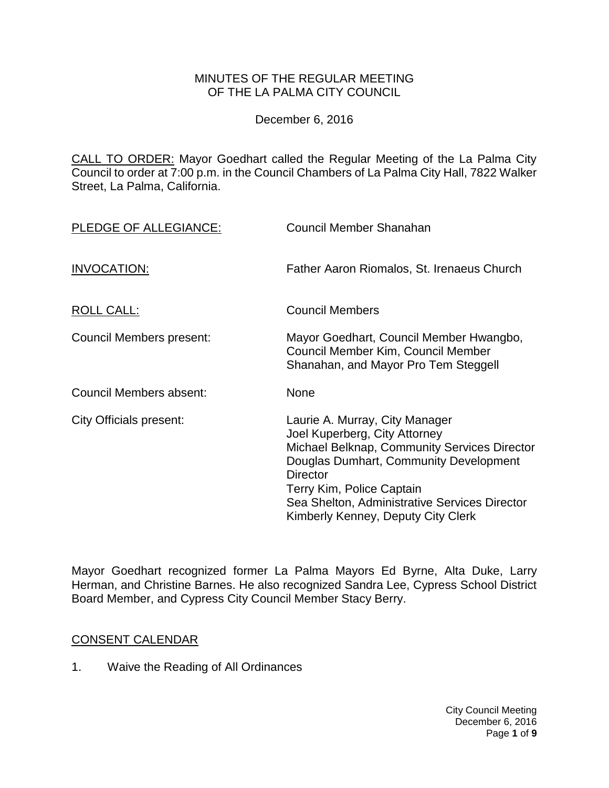## MINUTES OF THE REGULAR MEETING OF THE LA PALMA CITY COUNCIL

December 6, 2016

CALL TO ORDER: [Mayor Goedhart called the Regular Meeting of the La Palma City](http://lapalma.granicus.com/MediaPlayer.php?view_id=&clip_id=1045&meta_id=137515)  [Council to order at 7:00 p.m. in the Council Chambers of La Palma City Hall, 7822 Walker](http://lapalma.granicus.com/MediaPlayer.php?view_id=&clip_id=1045&meta_id=137515)  [Street, La Palma, California.](http://lapalma.granicus.com/MediaPlayer.php?view_id=&clip_id=1045&meta_id=137515)

| PLEDGE OF ALLEGIANCE:    | Council Member Shanahan                                                                                                                                                                                                                                                                          |
|--------------------------|--------------------------------------------------------------------------------------------------------------------------------------------------------------------------------------------------------------------------------------------------------------------------------------------------|
| INVOCATION:              | Father Aaron Riomalos, St. Irenaeus Church                                                                                                                                                                                                                                                       |
| ROLL CALL:               | <b>Council Members</b>                                                                                                                                                                                                                                                                           |
| Council Members present: | Mayor Goedhart, Council Member Hwangbo,<br>Council Member Kim, Council Member<br>Shanahan, and Mayor Pro Tem Steggell                                                                                                                                                                            |
| Council Members absent:  | <b>None</b>                                                                                                                                                                                                                                                                                      |
| City Officials present:  | Laurie A. Murray, City Manager<br>Joel Kuperberg, City Attorney<br>Michael Belknap, Community Services Director<br>Douglas Dumhart, Community Development<br><b>Director</b><br>Terry Kim, Police Captain<br>Sea Shelton, Administrative Services Director<br>Kimberly Kenney, Deputy City Clerk |

Mayor Goedhart recognized former La Palma Mayors Ed Byrne, Alta Duke, Larry Herman, and Christine Barnes. He also recognized Sandra Lee, Cypress School District Board Member, and Cypress City Council Member Stacy Berry.

## [CONSENT CALENDAR](http://lapalma.granicus.com/MediaPlayer.php?view_id=&clip_id=1045&meta_id=137519)

1. Waive the Reading of All Ordinances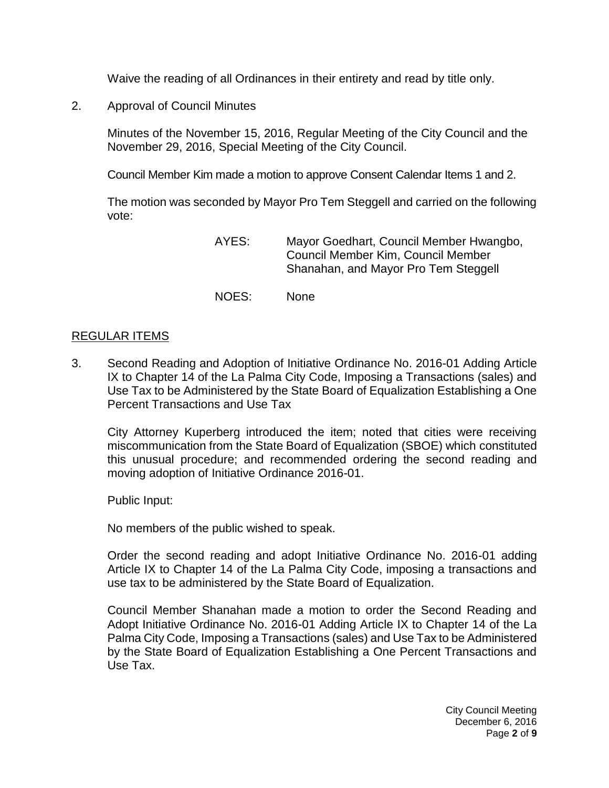Waive the reading of all Ordinances in their entirety and read by title only.

2. Approval of Council Minutes

Minutes of the November 15, 2016, Regular Meeting of the City Council and the November 29, 2016, Special Meeting of the City Council.

Council Member Kim made a motion to approve Consent Calendar Items 1 and 2.

The motion was seconded by Mayor Pro Tem Steggell and carried on the following vote:

- AYES: Mayor Goedhart, Council Member Hwangbo, Council Member Kim, Council Member Shanahan, and Mayor Pro Tem Steggell
- NOES: None

## [REGULAR ITEMS](http://lapalma.granicus.com/MediaPlayer.php?view_id=&clip_id=1045&meta_id=137527)

3. [Second Reading and Adoption of Initiative Ordinance No. 2016-01 Adding Article](http://lapalma.granicus.com/MediaPlayer.php?view_id=&clip_id=1045&meta_id=137528)  [IX to Chapter 14 of the La Palma City Code, Imposing a Transactions \(sales\) and](http://lapalma.granicus.com/MediaPlayer.php?view_id=&clip_id=1045&meta_id=137528)  [Use Tax to be Administered by the State Board of Equalization Establishing a One](http://lapalma.granicus.com/MediaPlayer.php?view_id=&clip_id=1045&meta_id=137528)  [Percent Transactions and Use Tax](http://lapalma.granicus.com/MediaPlayer.php?view_id=&clip_id=1045&meta_id=137528)

City Attorney Kuperberg introduced the item; noted that cities were receiving miscommunication from the State Board of Equalization (SBOE) which constituted this unusual procedure; and recommended ordering the second reading and moving adoption of Initiative Ordinance 2016-01.

Public Input:

No members of the public wished to speak.

Order the second reading and adopt Initiative Ordinance No. 2016-01 adding Article IX to Chapter 14 of the La Palma City Code, imposing a transactions and use tax to be administered by the State Board of Equalization.

Council Member Shanahan made a motion to order the Second Reading and Adopt Initiative Ordinance No. 2016-01 Adding Article IX to Chapter 14 of the La Palma City Code, Imposing a Transactions (sales) and Use Tax to be Administered by the State Board of Equalization Establishing a One Percent Transactions and Use Tax.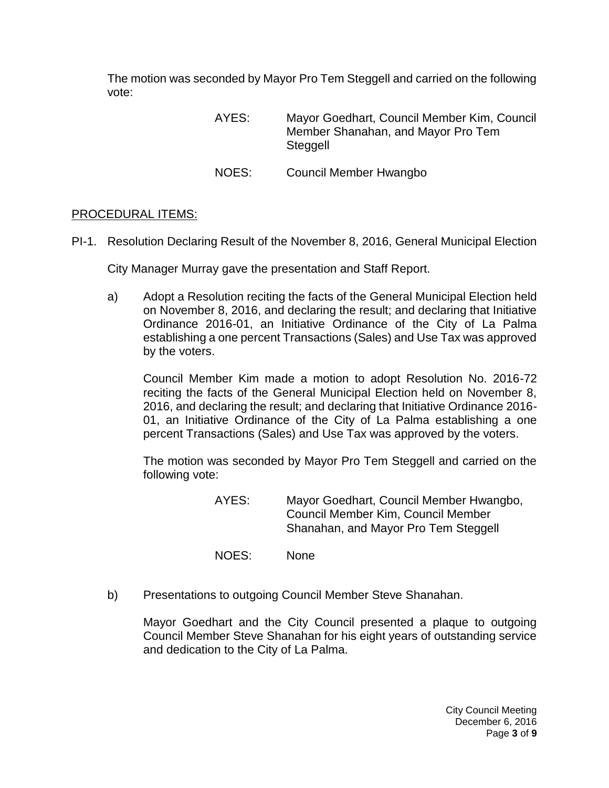The motion was seconded by Mayor Pro Tem Steggell and carried on the following vote:

> AYES: Mayor Goedhart, Council Member Kim, Council Member Shanahan, and Mayor Pro Tem **Steggell**

NOES: Council Member Hwangbo

## PROCEDURAL ITEMS:

PI-1. [Resolution Declaring Result of the November 8, 2016, General Municipal Election](http://lapalma.granicus.com/MediaPlayer.php?view_id=&clip_id=1045&meta_id=137533)

City Manager Murray gave the presentation and Staff Report.

a) [Adopt a Resolution reciting the facts of the General Municipal Election held](http://lapalma.granicus.com/MediaPlayer.php?view_id=&clip_id=1045&meta_id=137534)  [on November 8, 2016, and declaring the result; and declaring that Initiative](http://lapalma.granicus.com/MediaPlayer.php?view_id=&clip_id=1045&meta_id=137534)  [Ordinance 2016-01, an Initiative Ordinance of the City of La Palma](http://lapalma.granicus.com/MediaPlayer.php?view_id=&clip_id=1045&meta_id=137534)  [establishing a one percent Transactions \(Sales\) and Use Tax was approved](http://lapalma.granicus.com/MediaPlayer.php?view_id=&clip_id=1045&meta_id=137534)  [by the voters.](http://lapalma.granicus.com/MediaPlayer.php?view_id=&clip_id=1045&meta_id=137534)

Council Member Kim made a motion to adopt Resolution No. 2016-72 reciting the facts of the General Municipal Election held on November 8, 2016, and declaring the result; and declaring that Initiative Ordinance 2016- 01, an Initiative Ordinance of the City of La Palma establishing a one percent Transactions (Sales) and Use Tax was approved by the voters.

The motion was seconded by Mayor Pro Tem Steggell and carried on the following vote:

- AYES: Mayor Goedhart, Council Member Hwangbo, Council Member Kim, Council Member Shanahan, and Mayor Pro Tem Steggell
- NOES: None
- b) [Presentations to outgoing Council Member Steve Shanahan.](http://lapalma.granicus.com/MediaPlayer.php?view_id=&clip_id=1045&meta_id=137536)

Mayor Goedhart and the City Council presented a plaque to outgoing Council Member Steve Shanahan for his eight years of outstanding service and dedication to the City of La Palma.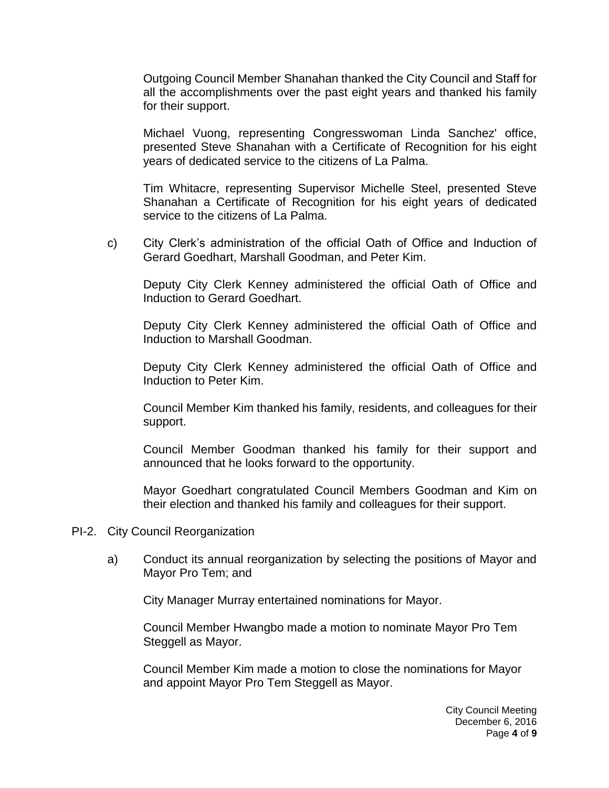Outgoing Council Member Shanahan thanked the City Council and Staff for all the accomplishments over the past eight years and thanked his family for their support.

Michael Vuong, representing Congresswoman Linda Sanchez' office, presented Steve Shanahan with a Certificate of Recognition for his eight years of dedicated service to the citizens of La Palma.

Tim Whitacre, representing Supervisor Michelle Steel, presented Steve Shanahan a Certificate of Recognition for his eight years of dedicated service to the citizens of La Palma.

c) [City Clerk's administration of the official Oath of Office and Induction of](http://lapalma.granicus.com/MediaPlayer.php?view_id=&clip_id=1045&meta_id=137539)  [Gerard Goedhart, Marshall Goodman, and Peter Kim.](http://lapalma.granicus.com/MediaPlayer.php?view_id=&clip_id=1045&meta_id=137539)

Deputy City Clerk Kenney administered the official Oath of Office and Induction to Gerard Goedhart.

Deputy City Clerk Kenney administered the official Oath of Office and Induction to Marshall Goodman.

Deputy City Clerk Kenney administered the official Oath of Office and Induction to Peter Kim.

Council Member Kim thanked his family, residents, and colleagues for their support.

Council Member Goodman thanked his family for their support and announced that he looks forward to the opportunity.

Mayor Goedhart congratulated Council Members Goodman and Kim on their election and thanked his family and colleagues for their support.

- PI-2. [City Council Reorganization](http://lapalma.granicus.com/MediaPlayer.php?view_id=&clip_id=1045&meta_id=137541)
	- a) [Conduct its annual reorganization by selecting the positions of Mayor and](http://lapalma.granicus.com/MediaPlayer.php?view_id=&clip_id=1045&meta_id=137542)  [Mayor Pro Tem; and](http://lapalma.granicus.com/MediaPlayer.php?view_id=&clip_id=1045&meta_id=137542)

City Manager Murray entertained nominations for Mayor.

Council Member Hwangbo made a motion to nominate Mayor Pro Tem Steggell as Mayor.

Council Member Kim made a motion to close the nominations for Mayor and appoint Mayor Pro Tem Steggell as Mayor.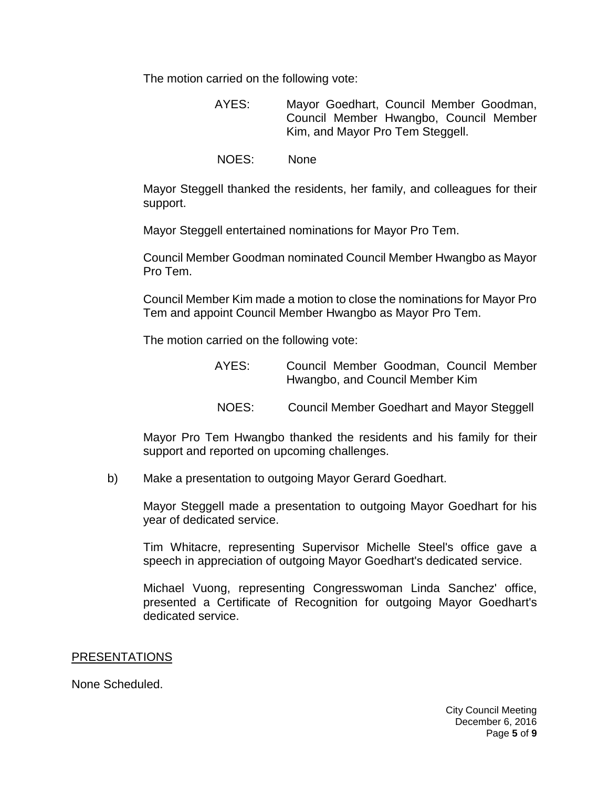The motion carried on the following vote:

- AYES: Mayor Goedhart, Council Member Goodman, Council Member Hwangbo, Council Member Kim, and Mayor Pro Tem Steggell.
- NOES: None

Mayor Steggell thanked the residents, her family, and colleagues for their support.

Mayor Steggell entertained nominations for Mayor Pro Tem.

Council Member Goodman nominated Council Member Hwangbo as Mayor Pro Tem.

Council Member Kim made a motion to close the nominations for Mayor Pro Tem and appoint Council Member Hwangbo as Mayor Pro Tem.

The motion carried on the following vote:

- AYES: Council Member Goodman, Council Member Hwangbo, and Council Member Kim
- NOES: Council Member Goedhart and Mayor Steggell

Mayor Pro Tem Hwangbo thanked the residents and his family for their support and reported on upcoming challenges.

b) [Make a presentation to outgoing Mayor Gerard Goedhart.](http://lapalma.granicus.com/MediaPlayer.php?view_id=&clip_id=1045&meta_id=137543)

Mayor Steggell made a presentation to outgoing Mayor Goedhart for his year of dedicated service.

Tim Whitacre, representing Supervisor Michelle Steel's office gave a speech in appreciation of outgoing Mayor Goedhart's dedicated service.

Michael Vuong, representing Congresswoman Linda Sanchez' office, presented a Certificate of Recognition for outgoing Mayor Goedhart's dedicated service.

#### PRESENTATIONS

None Scheduled.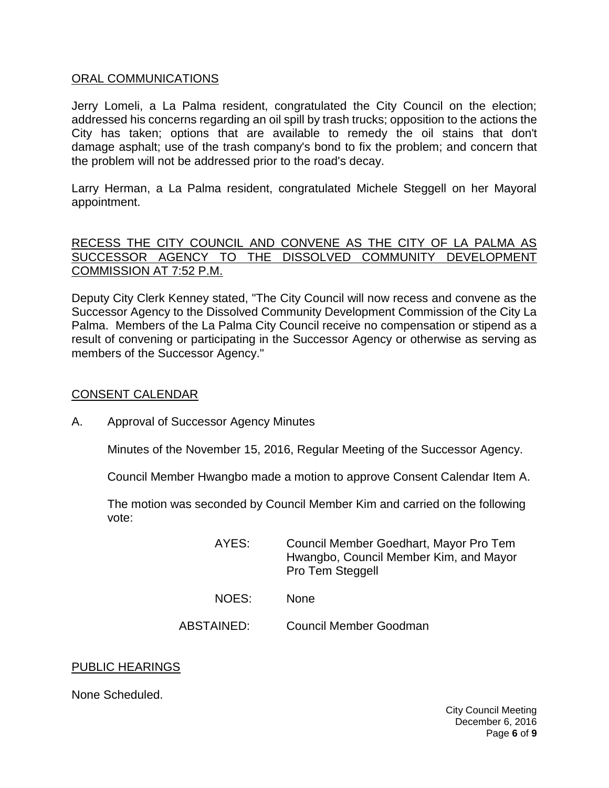#### [ORAL COMMUNICATIONS](http://lapalma.granicus.com/MediaPlayer.php?view_id=&clip_id=1045&meta_id=137550)

Jerry Lomeli, a La Palma resident, congratulated the City Council on the election; addressed his concerns regarding an oil spill by trash trucks; opposition to the actions the City has taken; options that are available to remedy the oil stains that don't damage asphalt; use of the trash company's bond to fix the problem; and concern that the problem will not be addressed prior to the road's decay.

Larry Herman, a La Palma resident, congratulated Michele Steggell on her Mayoral appointment.

#### [RECESS THE CITY COUNCIL AND CONVENE AS THE CITY OF LA PALMA AS](http://lapalma.granicus.com/MediaPlayer.php?view_id=&clip_id=1045&meta_id=137553)  [SUCCESSOR AGENCY TO THE DISSOLVED COMMUNITY DEVELOPMENT](http://lapalma.granicus.com/MediaPlayer.php?view_id=&clip_id=1045&meta_id=137553)  [COMMISSION AT 7:52 P.M.](http://lapalma.granicus.com/MediaPlayer.php?view_id=&clip_id=1045&meta_id=137553)

[Deputy City Clerk Kenney stated, "The City Council will now recess and convene as the](http://lapalma.granicus.com/MediaPlayer.php?view_id=&clip_id=1045&meta_id=137554)  [Successor Agency to the Dissolved Community Development Commission of the City La](http://lapalma.granicus.com/MediaPlayer.php?view_id=&clip_id=1045&meta_id=137554)  Palma. [Members of the La Palma City Council receive no compensation or stipend as a](http://lapalma.granicus.com/MediaPlayer.php?view_id=&clip_id=1045&meta_id=137554)  [result of convening or participating in the Successor Agency or otherwise as serving as](http://lapalma.granicus.com/MediaPlayer.php?view_id=&clip_id=1045&meta_id=137554)  [members of the Successor Agency."](http://lapalma.granicus.com/MediaPlayer.php?view_id=&clip_id=1045&meta_id=137554)

## [CONSENT CALENDAR](http://lapalma.granicus.com/MediaPlayer.php?view_id=&clip_id=1045&meta_id=137555)

A. Approval of Successor Agency Minutes

Minutes of the November 15, 2016, Regular Meeting of the Successor Agency.

Council Member Hwangbo made a motion to approve Consent Calendar Item A.

The motion was seconded by Council Member Kim and carried on the following vote:

- AYES: Council Member Goedhart, Mayor Pro Tem Hwangbo, Council Member Kim, and Mayor Pro Tem Steggell
- NOES: None
- ABSTAINED: Council Member Goodman

## PUBLIC HEARINGS

None Scheduled.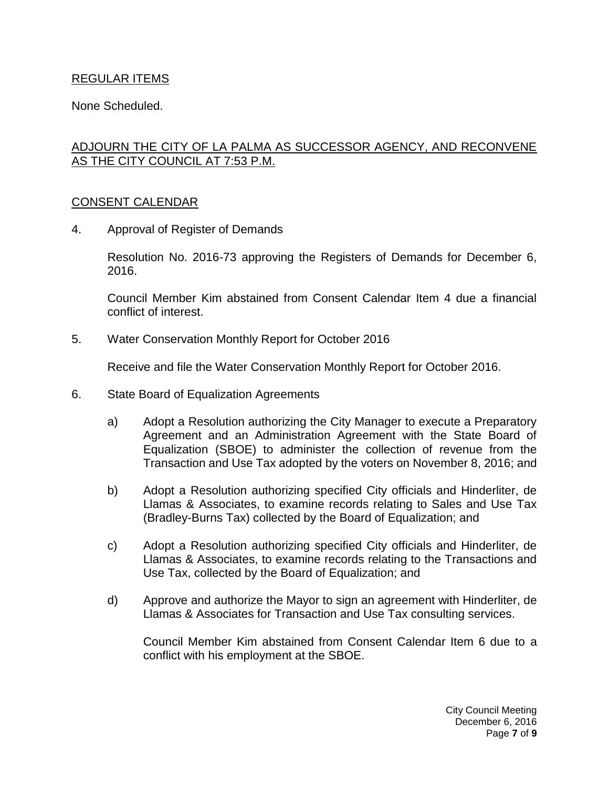## REGULAR ITEMS

None Scheduled.

# [ADJOURN THE CITY OF LA PALMA AS SUCCESSOR AGENCY, AND RECONVENE](http://lapalma.granicus.com/MediaPlayer.php?view_id=&clip_id=1045&meta_id=137562)  [AS THE CITY COUNCIL AT 7:53](http://lapalma.granicus.com/MediaPlayer.php?view_id=&clip_id=1045&meta_id=137562) P.M.

## [CONSENT CALENDAR](http://lapalma.granicus.com/MediaPlayer.php?view_id=&clip_id=1045&meta_id=137564)

4. Approval of Register of Demands

Resolution No. 2016-73 approving the Registers of Demands for December 6, 2016.

Council Member Kim abstained from Consent Calendar Item 4 due a financial conflict of interest.

5. Water Conservation Monthly Report for October 2016

Receive and file the Water Conservation Monthly Report for October 2016.

- 6. State Board of Equalization Agreements
	- a) Adopt a Resolution authorizing the City Manager to execute a Preparatory Agreement and an Administration Agreement with the State Board of Equalization (SBOE) to administer the collection of revenue from the Transaction and Use Tax adopted by the voters on November 8, 2016; and
	- b) Adopt a Resolution authorizing specified City officials and Hinderliter, de Llamas & Associates, to examine records relating to Sales and Use Tax (Bradley-Burns Tax) collected by the Board of Equalization; and
	- c) Adopt a Resolution authorizing specified City officials and Hinderliter, de Llamas & Associates, to examine records relating to the Transactions and Use Tax, collected by the Board of Equalization; and
	- d) Approve and authorize the Mayor to sign an agreement with Hinderliter, de Llamas & Associates for Transaction and Use Tax consulting services.

Council Member Kim abstained from Consent Calendar Item 6 due to a conflict with his employment at the SBOE.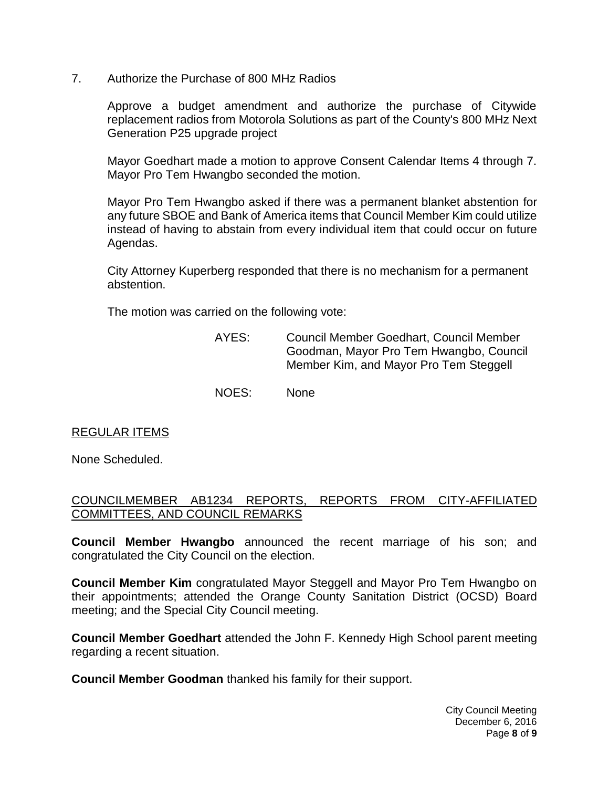7. Authorize the Purchase of 800 MHz Radios

Approve a budget amendment and authorize the purchase of Citywide replacement radios from Motorola Solutions as part of the County's 800 MHz Next Generation P25 upgrade project

Mayor Goedhart made a motion to approve Consent Calendar Items 4 through 7. Mayor Pro Tem Hwangbo seconded the motion.

Mayor Pro Tem Hwangbo asked if there was a permanent blanket abstention for any future SBOE and Bank of America items that Council Member Kim could utilize instead of having to abstain from every individual item that could occur on future Agendas.

City Attorney Kuperberg responded that there is no mechanism for a permanent abstention.

The motion was carried on the following vote:

- AYES: Council Member Goedhart, Council Member Goodman, Mayor Pro Tem Hwangbo, Council Member Kim, and Mayor Pro Tem Steggell
- NOES: None

# REGULAR ITEMS

None Scheduled.

## [COUNCILMEMBER AB1234 REPORTS, REPORTS FROM CITY-AFFILIATED](http://lapalma.granicus.com/MediaPlayer.php?view_id=&clip_id=1045&meta_id=137578)  [COMMITTEES, AND COUNCIL REMARKS](http://lapalma.granicus.com/MediaPlayer.php?view_id=&clip_id=1045&meta_id=137578)

**Council Member Hwangbo** announced the recent marriage of his son; and congratulated the City Council on the election.

**Council Member Kim** congratulated Mayor Steggell and Mayor Pro Tem Hwangbo on their appointments; attended the Orange County Sanitation District (OCSD) Board meeting; and the Special City Council meeting.

**Council Member Goedhart** attended the John F. Kennedy High School parent meeting regarding a recent situation.

**Council Member Goodman** thanked his family for their support.